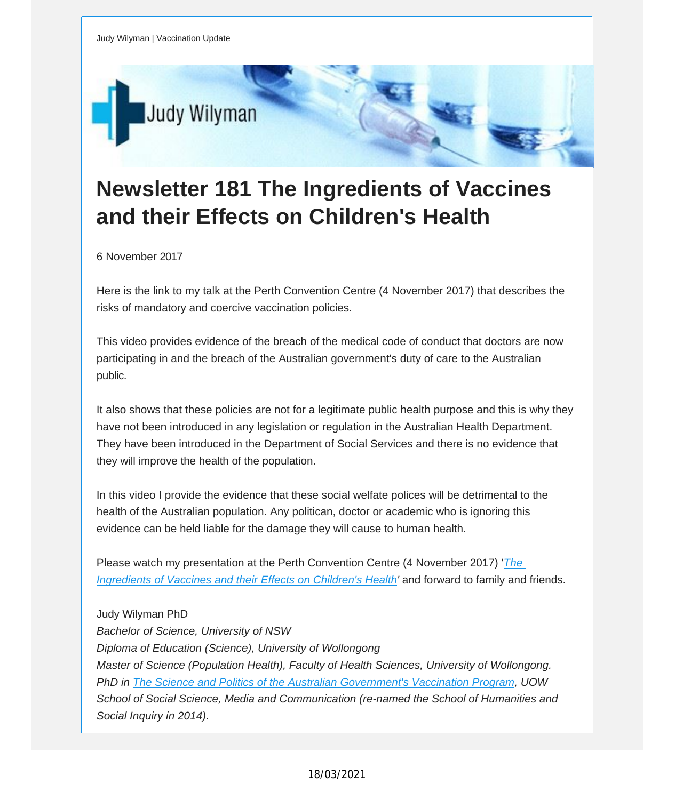

## **Newsletter 181 The Ingredients of Vaccines and their Effects on Children's Health**

6 November 2017

Here is the link to my talk at the Perth Convention Centre (4 November 2017) that describes the risks of mandatory and coercive vaccination policies.

This video provides evidence of the breach of the medical code of conduct that doctors are now participating in and the breach of the Australian government's duty of care to the Australian public.

It also shows that these policies are not for a legitimate public health purpose and this is why they have not been introduced in any legislation or regulation in the Australian Health Department. They have been introduced in the Department of Social Services and there is no evidence that they will improve the health of the population.

In this video I provide the evidence that these social welfate polices will be detrimental to the health of the Australian population. Any politican, doctor or academic who is ignoring this evidence can be held liable for the damage they will cause to human health.

Please watch my presentation at the Perth Convention Centre (4 November 2017) '*[The](https://vaccinationdecisions.us8.list-manage.com/track/click?u=f20605fde3732e41929f4a3f2&id=8ee686f899&e=fec8337d3c) [Ingredients](https://vaccinationdecisions.us8.list-manage.com/track/click?u=f20605fde3732e41929f4a3f2&id=8ee686f899&e=fec8337d3c) of Vaccines and their Effects on Children's Health'* and forward to family and friends.

Judy Wilyman PhD *Bachelor of Science, University of NSW Diploma of Education (Science), University of Wollongong Master of Science (Population Health), Faculty of Health Sciences, University of Wollongong. PhD in The Science and Politics of the Australian [Government's](https://vaccinationdecisions.us8.list-manage.com/track/click?u=f20605fde3732e41929f4a3f2&id=5dd9cb210f&e=fec8337d3c) Vaccination Program, UOW School of Social Science, Media and Communication (re-named the School of Humanities and Social Inquiry in 2014).*

## 18/03/2021